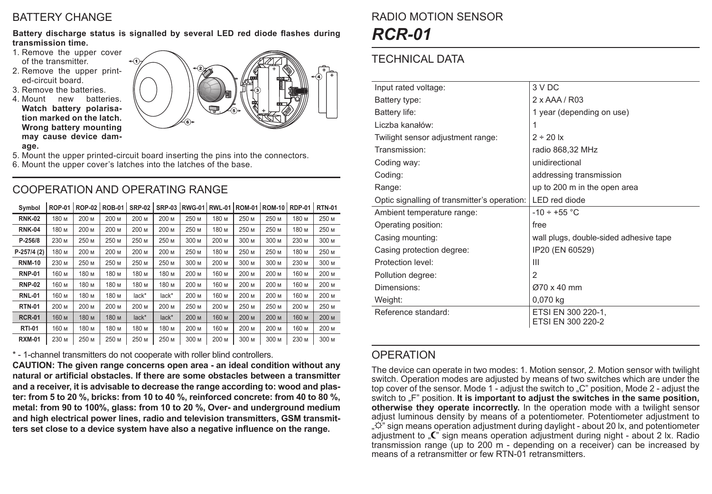## BATTERY CHANGE

**Battery discharge status is signalled by several LED red diode flashes during transmission time.**

- 1. Remove the upper cover of the transmitter.
- 2. Remove the upper printed-circuit board.
- 3. Remove the batteries.
- 4. Mount new batteries. **Watch battery polarisation marked on the latch. Wrong battery mounting may cause device damage.**



- 5. Mount the upper printed-circuit board inserting the pins into the connectors.
- 6. Mount the upper cover's latches into the latches of the base.

# COOPERATION AND OPERATING RANGE

| Symbol        | <b>ROP-01</b> | <b>ROP-02</b> | <b>ROB-01</b> | <b>SRP-02</b> | <b>SRP-03</b> | <b>RWG-01</b> | <b>RWL-01</b> | <b>ROM-01</b> | <b>ROM-10</b> | <b>RDP-01</b> | <b>RTN-01</b> |
|---------------|---------------|---------------|---------------|---------------|---------------|---------------|---------------|---------------|---------------|---------------|---------------|
| <b>RNK-02</b> | 180 м         | 200 M         | 200 M         | 200 M         | 200 M         | 250 M         | 180 M         | 250 M         | 250 M         | 180 M         | 250 M         |
| <b>RNK-04</b> | 180 M         | 200 M         | 200 M         | 200 M         | 200 M         | 250 M         | 180 M         | 250 M         | 250 M         | 180 M         | 250 M         |
| P-256/8       | 230 M         | 250 M         | 250 M         | 250 M         | 250 M         | 300 M         | 200 M         | 300 M         | 300 M         | 230 M         | 300 M         |
| P-257/4 (2)   | 180 м         | 200 M         | 200 M         | 200 M         | 200 M         | 250 M         | 180 M         | 250 M         | 250 M         | 180 M         | 250 M         |
| <b>RNM-10</b> | 230 M         | 250 M         | 250 M         | 250 M         | 250 M         | 300 M         | 200 M         | 300 M         | 300 M         | 230 M         | 300 M         |
| <b>RNP-01</b> | 160 м         | 180 M         | 180 M         | 180 M         | 180 м         | 200 M         | 160 M         | 200 M         | 200 M         | 160 M         | 200 M         |
| <b>RNP-02</b> | 160 м         | 180 м         | 180 M         | 180 M         | 180 м         | 200 M         | 160 M         | 200 M         | 200 M         | 160 M         | 200 M         |
| <b>RNL-01</b> | 160 м         | 180 м         | 180 M         | lack*         | lack*         | 200 M         | 160 M         | 200 M         | 200 M         | 160 M         | 200 M         |
| <b>RTN-01</b> | 200 M         | 200 M         | 200 M         | 200 M         | 200 M         | 250 M         | 200 M         | 250 M         | 250 M         | 200 M         | 250 M         |
| <b>RCR-01</b> | 160 м         | 180 м         | 180 м         | $lack^*$      | $lack^*$      | 200 M         | 160 M         | 200 M         | 200 M         | 160 M         | 200 M         |
| <b>RTI-01</b> | 160 м         | 180 м         | 180 M         | 180 M         | 180 M         | 200 M         | 160 M         | 200 M         | 200 M         | 160 M         | 200 M         |
| <b>RXM-01</b> | 230 M         | 250 M         | 250 M         | 250 M         | 250 M         | 300 M         | 200 M         | 300 M         | 300 M         | 230 M         | 300 M         |

\* - 1-channel transmitters do not cooperate with roller blind controllers.

**CAUTION: The given range concerns open area - an ideal condition without any natural or artificial obstacles. If there are some obstacles between a transmitter and a receiver, it is advisable to decrease the range according to: wood and plaster: from 5 to 20 %, bricks: from 10 to 40 %, reinforced concrete: from 40 to 80 %, metal: from 90 to 100%, glass: from 10 to 20 %, Over- and underground medium and high electrical power lines, radio and television transmitters, GSM transmitters set close to a device system have also a negative influence on the range.**

# RADIO MOTION SENSOR *RCR-01*

# TECHNICAL DATA

| Input rated voltage:                         | 3 V DC                                  |  |  |  |  |  |
|----------------------------------------------|-----------------------------------------|--|--|--|--|--|
| Battery type:                                | $2 \times$ AAA / R03                    |  |  |  |  |  |
| Battery life:                                | 1 year (depending on use)               |  |  |  |  |  |
| Liczba kanałów:                              | 1                                       |  |  |  |  |  |
| Twilight sensor adjustment range:            | $2 \div 20$ lx                          |  |  |  |  |  |
| Transmission <sup>.</sup>                    | radio 868,32 MHz                        |  |  |  |  |  |
| Coding way:                                  | unidirectional                          |  |  |  |  |  |
| Coding:                                      | addressing transmission                 |  |  |  |  |  |
| Range:                                       | up to 200 m in the open area            |  |  |  |  |  |
| Optic signalling of transmitter's operation: | LED red diode                           |  |  |  |  |  |
| Ambient temperature range:                   | $-10 \div +55$ °C                       |  |  |  |  |  |
| Operating position:                          | free                                    |  |  |  |  |  |
| Casing mounting:                             | wall plugs, double-sided adhesive tape  |  |  |  |  |  |
| Casing protection degree:                    | IP20 (EN 60529)                         |  |  |  |  |  |
| Protection level:                            | Ш                                       |  |  |  |  |  |
| Pollution degree:                            | $\mathcal{P}$                           |  |  |  |  |  |
| Dimensions:                                  | Ø70 x 40 mm                             |  |  |  |  |  |
| Weight:                                      | 0,070 kg                                |  |  |  |  |  |
| Reference standard:                          | ETSI EN 300 220-1,<br>ETSI EN 300 220-2 |  |  |  |  |  |

## **OPERATION**

The device can operate in two modes: 1. Motion sensor, 2. Motion sensor with twilight switch. Operation modes are adjusted by means of two switches which are under the top cover of the sensor. Mode 1 - adjust the switch to "C" position, Mode 2 - adjust the switch to  $F$  position. It is important to adjust the switches in the same position. **otherwise they operate incorrectly.** In the operation mode with a twilight sensor adjust luminous density by means of a potentiometer. Potentiometer adjustment to  $\mathbb{R}^{\tilde{\mathcal{Q}}'}$  sign means operation adjustment during daylight - about 20 lx, and potentiometer adjustment to  $\mathbb{C}^n$  sign means operation adjustment during night - about 2 lx. Radio transmission range (up to 200 m - depending on a receiver) can be increased by means of a retransmitter or few RTN-01 retransmitters.